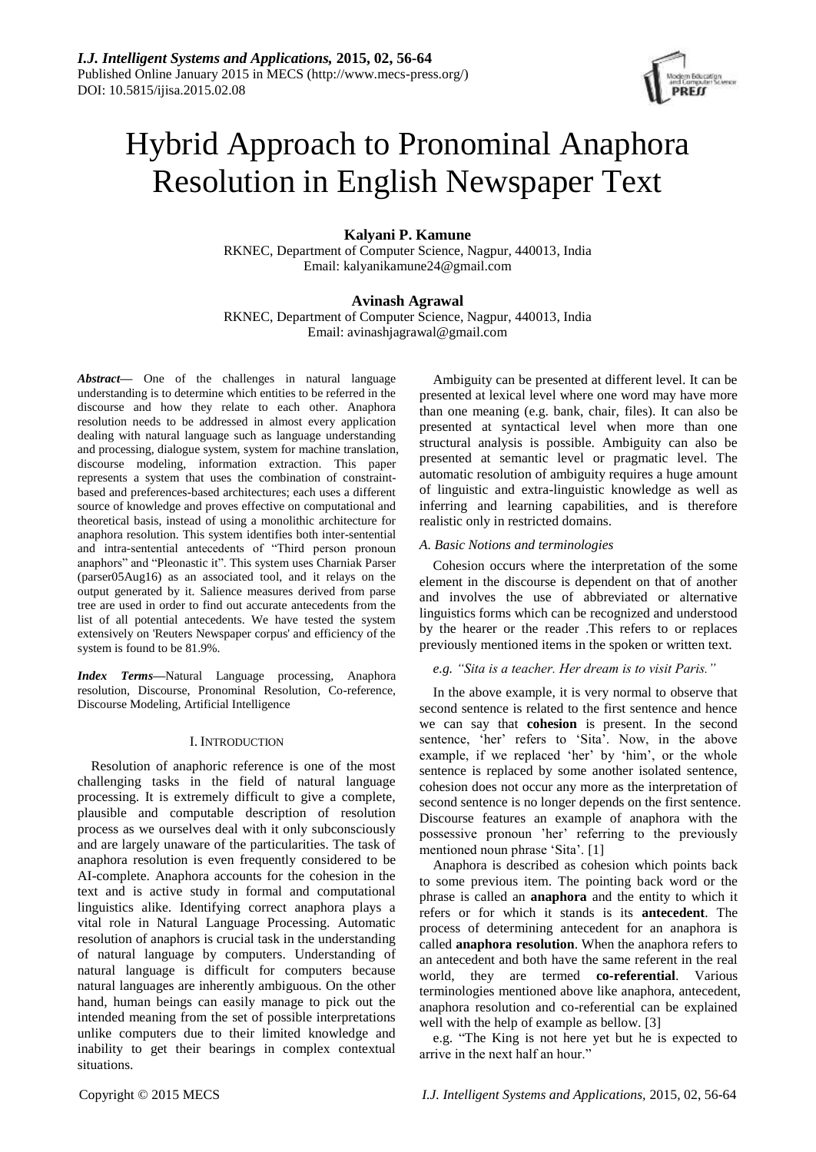

# Hybrid Approach to Pronominal Anaphora Resolution in English Newspaper Text

# **Kalyani P. Kamune**

RKNEC, Department of Computer Science, Nagpur, 440013, India Email: kalyanikamune24@gmail.com

# **Avinash Agrawal**

RKNEC, Department of Computer Science, Nagpur, 440013, India Email: avinashjagrawal@gmail.com

*Abstract***—** One of the challenges in natural language understanding is to determine which entities to be referred in the discourse and how they relate to each other. Anaphora resolution needs to be addressed in almost every application dealing with natural language such as language understanding and processing, dialogue system, system for machine translation, discourse modeling, information extraction. This paper represents a system that uses the combination of constraintbased and preferences-based architectures; each uses a different source of knowledge and proves effective on computational and theoretical basis, instead of using a monolithic architecture for anaphora resolution. This system identifies both inter-sentential and intra-sentential antecedents of "Third person pronoun anaphors" and "Pleonastic it". This system uses Charniak Parser (parser05Aug16) as an associated tool, and it relays on the output generated by it. Salience measures derived from parse tree are used in order to find out accurate antecedents from the list of all potential antecedents. We have tested the system extensively on 'Reuters Newspaper corpus' and efficiency of the system is found to be 81.9%.

*Index Terms***—**Natural Language processing, Anaphora resolution, Discourse, Pronominal Resolution, Co-reference, Discourse Modeling, Artificial Intelligence

# I. INTRODUCTION

Resolution of anaphoric reference is one of the most challenging tasks in the field of natural language processing. It is extremely difficult to give a complete, plausible and computable description of resolution process as we ourselves deal with it only subconsciously and are largely unaware of the particularities. The task of anaphora resolution is even frequently considered to be AI-complete. Anaphora accounts for the cohesion in the text and is active study in formal and computational linguistics alike. Identifying correct anaphora plays a vital role in Natural Language Processing. Automatic resolution of anaphors is crucial task in the understanding of natural language by computers. Understanding of natural language is difficult for computers because natural languages are inherently ambiguous. On the other hand, human beings can easily manage to pick out the intended meaning from the set of possible interpretations unlike computers due to their limited knowledge and inability to get their bearings in complex contextual situations.

Ambiguity can be presented at different level. It can be presented at lexical level where one word may have more than one meaning (e.g. bank, chair, files). It can also be presented at syntactical level when more than one structural analysis is possible. Ambiguity can also be presented at semantic level or pragmatic level. The automatic resolution of ambiguity requires a huge amount of linguistic and extra-linguistic knowledge as well as inferring and learning capabilities, and is therefore realistic only in restricted domains.

# *A. Basic Notions and terminologies*

Cohesion occurs where the interpretation of the some element in the discourse is dependent on that of another and involves the use of abbreviated or alternative linguistics forms which can be recognized and understood by the hearer or the reader .This refers to or replaces previously mentioned items in the spoken or written text.

# *e.g. "Sita is a teacher. Her dream is to visit Paris."*

In the above example, it is very normal to observe that second sentence is related to the first sentence and hence we can say that **cohesion** is present. In the second sentence, 'her' refers to 'Sita'. Now, in the above example, if we replaced 'her' by 'him', or the whole sentence is replaced by some another isolated sentence, cohesion does not occur any more as the interpretation of second sentence is no longer depends on the first sentence. Discourse features an example of anaphora with the possessive pronoun 'her' referring to the previously mentioned noun phrase 'Sita'. [1]

Anaphora is described as cohesion which points back to some previous item. The pointing back word or the phrase is called an **anaphora** and the entity to which it refers or for which it stands is its **antecedent**. The process of determining antecedent for an anaphora is called **anaphora resolution**. When the anaphora refers to an antecedent and both have the same referent in the real world, they are termed **co-referential**. Various terminologies mentioned above like anaphora, antecedent, anaphora resolution and co-referential can be explained well with the help of example as bellow. [3]

e.g. "The King is not here yet but he is expected to arrive in the next half an hour."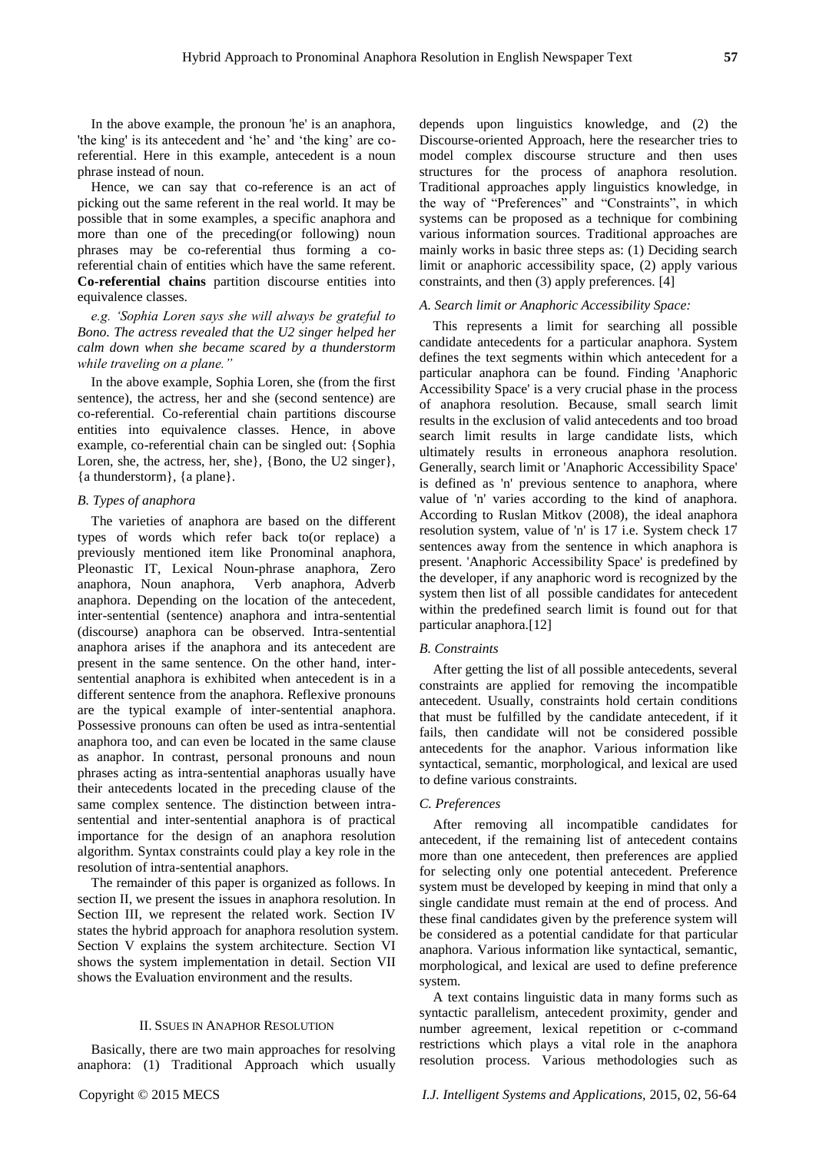In the above example, the pronoun 'he' is an anaphora, 'the king' is its antecedent and 'he' and 'the king' are coreferential. Here in this example, antecedent is a noun phrase instead of noun.

Hence, we can say that co-reference is an act of picking out the same referent in the real world. It may be possible that in some examples, a specific anaphora and more than one of the preceding(or following) noun phrases may be co-referential thus forming a coreferential chain of entities which have the same referent. **Co-referential chains** partition discourse entities into equivalence classes.

*e.g. 'Sophia Loren says she will always be grateful to Bono. The actress revealed that the U2 singer helped her calm down when she became scared by a thunderstorm while traveling on a plane."*

In the above example, Sophia Loren, she (from the first sentence), the actress, her and she (second sentence) are co-referential. Co-referential chain partitions discourse entities into equivalence classes. Hence, in above example, co-referential chain can be singled out: {Sophia Loren, she, the actress, her, she}, {Bono, the U2 singer}, {a thunderstorm}, {a plane}.

# *B. Types of anaphora*

The varieties of anaphora are based on the different types of words which refer back to(or replace) a previously mentioned item like Pronominal anaphora, Pleonastic IT, Lexical Noun-phrase anaphora, Zero anaphora, Noun anaphora, Verb anaphora, Adverb anaphora. Depending on the location of the antecedent, inter-sentential (sentence) anaphora and intra-sentential (discourse) anaphora can be observed. Intra-sentential anaphora arises if the anaphora and its antecedent are present in the same sentence. On the other hand, intersentential anaphora is exhibited when antecedent is in a different sentence from the anaphora. Reflexive pronouns are the typical example of inter-sentential anaphora. Possessive pronouns can often be used as intra-sentential anaphora too, and can even be located in the same clause as anaphor. In contrast, personal pronouns and noun phrases acting as intra-sentential anaphoras usually have their antecedents located in the preceding clause of the same complex sentence. The distinction between intrasentential and inter-sentential anaphora is of practical importance for the design of an anaphora resolution algorithm. Syntax constraints could play a key role in the resolution of intra-sentential anaphors.

The remainder of this paper is organized as follows. In section II, we present the issues in anaphora resolution. In Section III, we represent the related work. Section IV states the hybrid approach for anaphora resolution system. Section V explains the system architecture. Section VI shows the system implementation in detail. Section VII shows the Evaluation environment and the results.

## II. SSUES IN ANAPHOR RESOLUTION

Basically, there are two main approaches for resolving anaphora: (1) Traditional Approach which usually depends upon linguistics knowledge, and (2) the Discourse-oriented Approach, here the researcher tries to model complex discourse structure and then uses structures for the process of anaphora resolution. Traditional approaches apply linguistics knowledge, in the way of "Preferences" and "Constraints", in which systems can be proposed as a technique for combining various information sources. Traditional approaches are mainly works in basic three steps as: (1) Deciding search limit or anaphoric accessibility space, (2) apply various constraints, and then (3) apply preferences. [4]

## *A. Search limit or Anaphoric Accessibility Space:*

This represents a limit for searching all possible candidate antecedents for a particular anaphora. System defines the text segments within which antecedent for a particular anaphora can be found. Finding 'Anaphoric Accessibility Space' is a very crucial phase in the process of anaphora resolution. Because, small search limit results in the exclusion of valid antecedents and too broad search limit results in large candidate lists, which ultimately results in erroneous anaphora resolution. Generally, search limit or 'Anaphoric Accessibility Space' is defined as 'n' previous sentence to anaphora, where value of 'n' varies according to the kind of anaphora. According to Ruslan Mitkov (2008), the ideal anaphora resolution system, value of 'n' is 17 i.e. System check 17 sentences away from the sentence in which anaphora is present. 'Anaphoric Accessibility Space' is predefined by the developer, if any anaphoric word is recognized by the system then list of all possible candidates for antecedent within the predefined search limit is found out for that particular anaphora.[12]

## *B. Constraints*

After getting the list of all possible antecedents, several constraints are applied for removing the incompatible antecedent. Usually, constraints hold certain conditions that must be fulfilled by the candidate antecedent, if it fails, then candidate will not be considered possible antecedents for the anaphor. Various information like syntactical, semantic, morphological, and lexical are used to define various constraints.

#### *C. Preferences*

After removing all incompatible candidates for antecedent, if the remaining list of antecedent contains more than one antecedent, then preferences are applied for selecting only one potential antecedent. Preference system must be developed by keeping in mind that only a single candidate must remain at the end of process. And these final candidates given by the preference system will be considered as a potential candidate for that particular anaphora. Various information like syntactical, semantic, morphological, and lexical are used to define preference system.

A text contains linguistic data in many forms such as syntactic parallelism, antecedent proximity, gender and number agreement, lexical repetition or c-command restrictions which plays a vital role in the anaphora resolution process. Various methodologies such as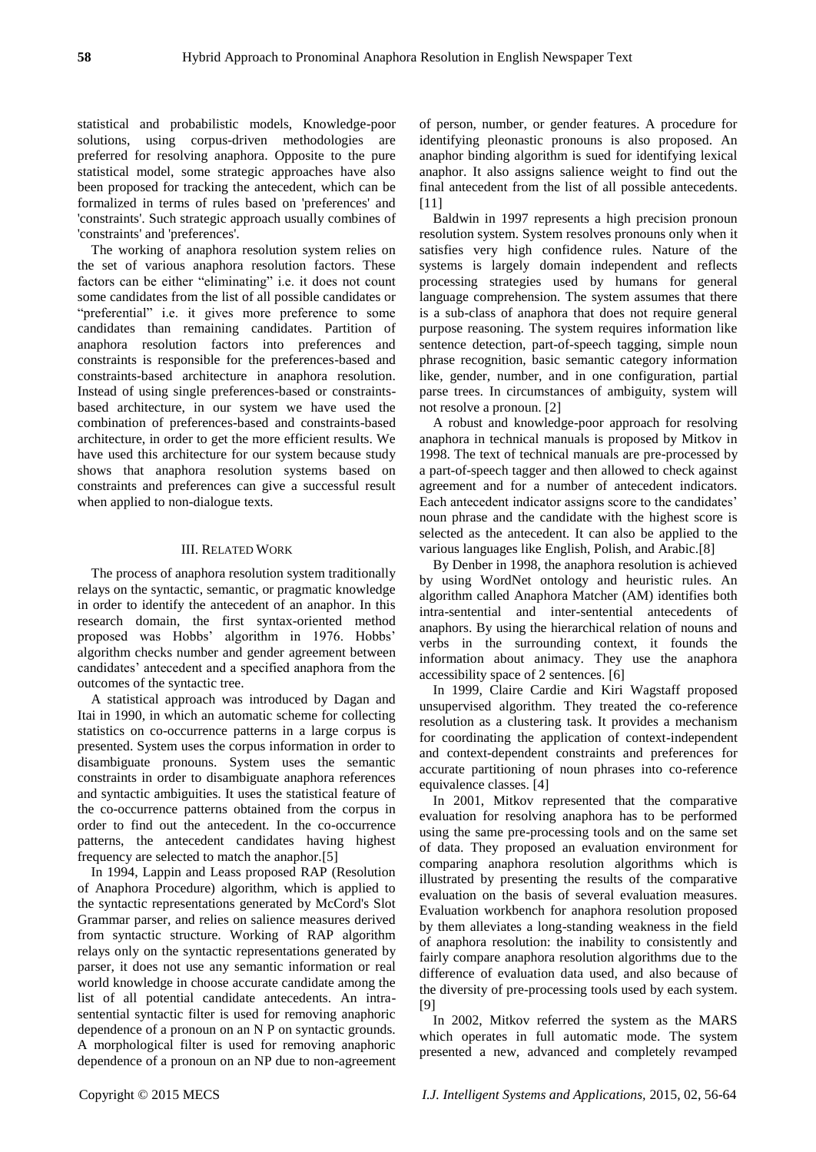statistical and probabilistic models, Knowledge-poor solutions, using corpus-driven methodologies are preferred for resolving anaphora. Opposite to the pure statistical model, some strategic approaches have also been proposed for tracking the antecedent, which can be formalized in terms of rules based on 'preferences' and 'constraints'. Such strategic approach usually combines of 'constraints' and 'preferences'.

The working of anaphora resolution system relies on the set of various anaphora resolution factors. These factors can be either "eliminating" i.e. it does not count some candidates from the list of all possible candidates or "preferential" i.e. it gives more preference to some candidates than remaining candidates. Partition of anaphora resolution factors into preferences and constraints is responsible for the preferences-based and constraints-based architecture in anaphora resolution. Instead of using single preferences-based or constraintsbased architecture, in our system we have used the combination of preferences-based and constraints-based architecture, in order to get the more efficient results. We have used this architecture for our system because study shows that anaphora resolution systems based on constraints and preferences can give a successful result when applied to non-dialogue texts.

## III. RELATED WORK

The process of anaphora resolution system traditionally relays on the syntactic, semantic, or pragmatic knowledge in order to identify the antecedent of an anaphor. In this research domain, the first syntax-oriented method proposed was Hobbs' algorithm in 1976. Hobbs' algorithm checks number and gender agreement between candidates' antecedent and a specified anaphora from the outcomes of the syntactic tree.

A statistical approach was introduced by Dagan and Itai in 1990, in which an automatic scheme for collecting statistics on co-occurrence patterns in a large corpus is presented. System uses the corpus information in order to disambiguate pronouns. System uses the semantic constraints in order to disambiguate anaphora references and syntactic ambiguities. It uses the statistical feature of the co-occurrence patterns obtained from the corpus in order to find out the antecedent. In the co-occurrence patterns, the antecedent candidates having highest frequency are selected to match the anaphor.[5]

In 1994, Lappin and Leass proposed RAP (Resolution of Anaphora Procedure) algorithm, which is applied to the syntactic representations generated by McCord's Slot Grammar parser, and relies on salience measures derived from syntactic structure. Working of RAP algorithm relays only on the syntactic representations generated by parser, it does not use any semantic information or real world knowledge in choose accurate candidate among the list of all potential candidate antecedents. An intrasentential syntactic filter is used for removing anaphoric dependence of a pronoun on an N P on syntactic grounds. A morphological filter is used for removing anaphoric dependence of a pronoun on an NP due to non-agreement of person, number, or gender features. A procedure for identifying pleonastic pronouns is also proposed. An anaphor binding algorithm is sued for identifying lexical anaphor. It also assigns salience weight to find out the final antecedent from the list of all possible antecedents. [11]

Baldwin in 1997 represents a high precision pronoun resolution system. System resolves pronouns only when it satisfies very high confidence rules. Nature of the systems is largely domain independent and reflects processing strategies used by humans for general language comprehension. The system assumes that there is a sub-class of anaphora that does not require general purpose reasoning. The system requires information like sentence detection, part-of-speech tagging, simple noun phrase recognition, basic semantic category information like, gender, number, and in one configuration, partial parse trees. In circumstances of ambiguity, system will not resolve a pronoun. [2]

A robust and knowledge-poor approach for resolving anaphora in technical manuals is proposed by Mitkov in 1998. The text of technical manuals are pre-processed by a part-of-speech tagger and then allowed to check against agreement and for a number of antecedent indicators. Each antecedent indicator assigns score to the candidates' noun phrase and the candidate with the highest score is selected as the antecedent. It can also be applied to the various languages like English, Polish, and Arabic.[8]

By Denber in 1998, the anaphora resolution is achieved by using WordNet ontology and heuristic rules. An algorithm called Anaphora Matcher (AM) identifies both intra-sentential and inter-sentential antecedents of anaphors. By using the hierarchical relation of nouns and verbs in the surrounding context, it founds the information about animacy. They use the anaphora accessibility space of 2 sentences. [6]

In 1999, Claire Cardie and Kiri Wagstaff proposed unsupervised algorithm. They treated the co-reference resolution as a clustering task. It provides a mechanism for coordinating the application of context-independent and context-dependent constraints and preferences for accurate partitioning of noun phrases into co-reference equivalence classes. [4]

In 2001, Mitkov represented that the comparative evaluation for resolving anaphora has to be performed using the same pre-processing tools and on the same set of data. They proposed an evaluation environment for comparing anaphora resolution algorithms which is illustrated by presenting the results of the comparative evaluation on the basis of several evaluation measures. Evaluation workbench for anaphora resolution proposed by them alleviates a long-standing weakness in the field of anaphora resolution: the inability to consistently and fairly compare anaphora resolution algorithms due to the difference of evaluation data used, and also because of the diversity of pre-processing tools used by each system. [9]

In 2002, Mitkov referred the system as the MARS which operates in full automatic mode. The system presented a new, advanced and completely revamped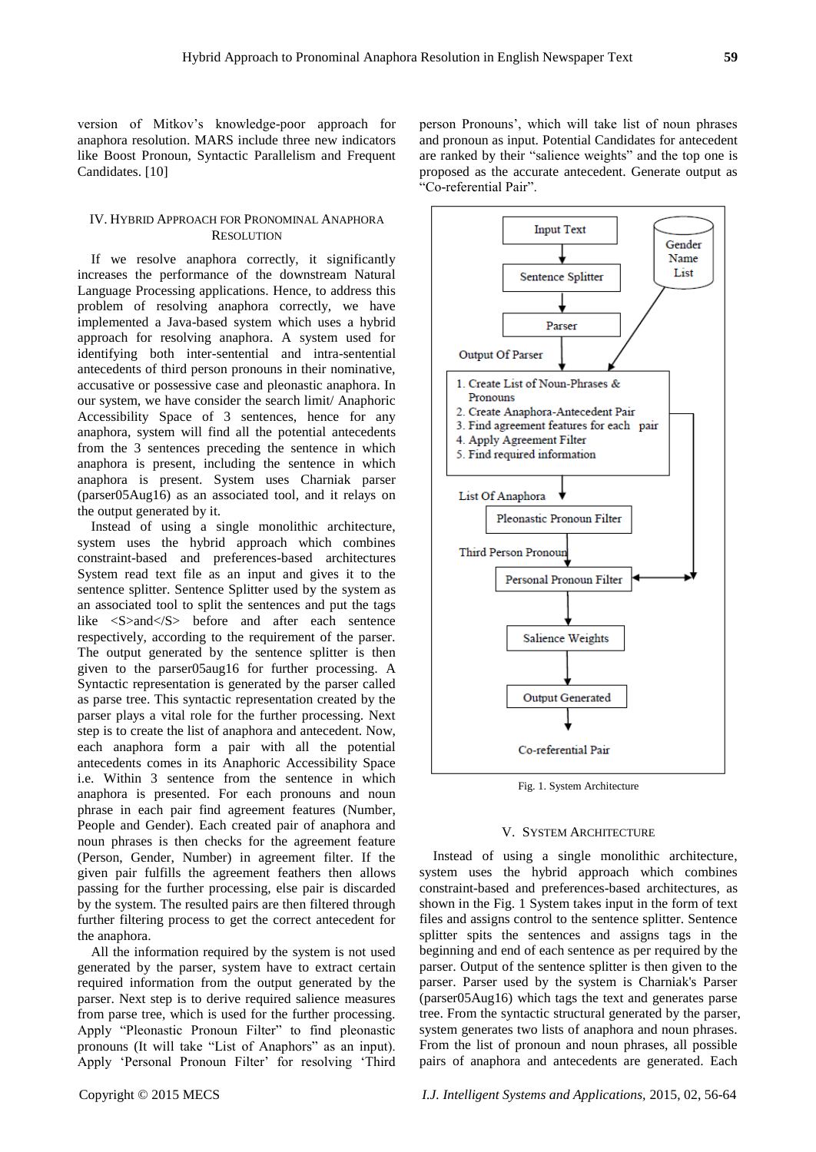version of Mitkov's knowledge-poor approach for anaphora resolution. MARS include three new indicators like Boost Pronoun, Syntactic Parallelism and Frequent Candidates. [10]

# IV. HYBRID APPROACH FOR PRONOMINAL ANAPHORA **RESOLUTION**

If we resolve anaphora correctly, it significantly increases the performance of the downstream Natural Language Processing applications. Hence, to address this problem of resolving anaphora correctly, we have implemented a Java-based system which uses a hybrid approach for resolving anaphora. A system used for identifying both inter-sentential and intra-sentential antecedents of third person pronouns in their nominative, accusative or possessive case and pleonastic anaphora. In our system, we have consider the search limit/ Anaphoric Accessibility Space of 3 sentences, hence for any anaphora, system will find all the potential antecedents from the 3 sentences preceding the sentence in which anaphora is present, including the sentence in which anaphora is present. System uses Charniak parser (parser05Aug16) as an associated tool, and it relays on the output generated by it.

Instead of using a single monolithic architecture, system uses the hybrid approach which combines constraint-based and preferences-based architectures System read text file as an input and gives it to the sentence splitter. Sentence Splitter used by the system as an associated tool to split the sentences and put the tags like  $\langle S \rangle$ and $\langle S \rangle$  before and after each sentence respectively, according to the requirement of the parser. The output generated by the sentence splitter is then given to the parser05aug16 for further processing. A Syntactic representation is generated by the parser called as parse tree. This syntactic representation created by the parser plays a vital role for the further processing. Next step is to create the list of anaphora and antecedent. Now, each anaphora form a pair with all the potential antecedents comes in its Anaphoric Accessibility Space i.e. Within 3 sentence from the sentence in which anaphora is presented. For each pronouns and noun phrase in each pair find agreement features (Number, People and Gender). Each created pair of anaphora and noun phrases is then checks for the agreement feature (Person, Gender, Number) in agreement filter. If the given pair fulfills the agreement feathers then allows passing for the further processing, else pair is discarded by the system. The resulted pairs are then filtered through further filtering process to get the correct antecedent for the anaphora.

All the information required by the system is not used generated by the parser, system have to extract certain required information from the output generated by the parser. Next step is to derive required salience measures from parse tree, which is used for the further processing. Apply "Pleonastic Pronoun Filter" to find pleonastic pronouns (It will take "List of Anaphors" as an input). Apply 'Personal Pronoun Filter' for resolving 'Third person Pronouns', which will take list of noun phrases and pronoun as input. Potential Candidates for antecedent are ranked by their "salience weights" and the top one is proposed as the accurate antecedent. Generate output as "Co-referential Pair".



Fig. 1. System Architecture

## V. SYSTEM ARCHITECTURE

Instead of using a single monolithic architecture, system uses the hybrid approach which combines constraint-based and preferences-based architectures, as shown in the Fig. 1 System takes input in the form of text files and assigns control to the sentence splitter. Sentence splitter spits the sentences and assigns tags in the beginning and end of each sentence as per required by the parser. Output of the sentence splitter is then given to the parser. Parser used by the system is Charniak's Parser (parser05Aug16) which tags the text and generates parse tree. From the syntactic structural generated by the parser, system generates two lists of anaphora and noun phrases. From the list of pronoun and noun phrases, all possible pairs of anaphora and antecedents are generated. Each

Copyright © 2015 MECS *I.J. Intelligent Systems and Applications,* 2015, 02, 56-64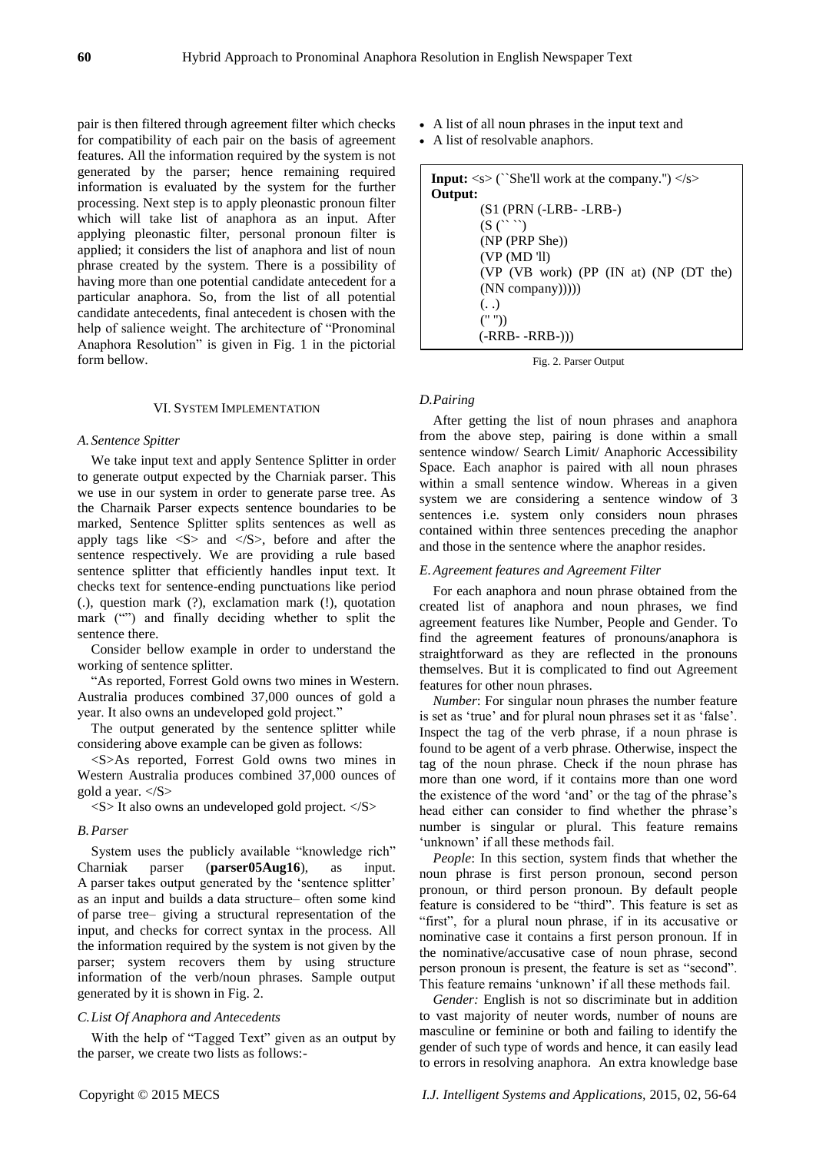pair is then filtered through agreement filter which checks for compatibility of each pair on the basis of agreement features. All the information required by the system is not generated by the parser; hence remaining required information is evaluated by the system for the further processing. Next step is to apply pleonastic pronoun filter which will take list of anaphora as an input. After applying pleonastic filter, personal pronoun filter is applied; it considers the list of anaphora and list of noun phrase created by the system. There is a possibility of having more than one potential candidate antecedent for a particular anaphora. So, from the list of all potential candidate antecedents, final antecedent is chosen with the help of salience weight. The architecture of "Pronominal Anaphora Resolution" is given in Fig. 1 in the pictorial form bellow.

#### VI. SYSTEM IMPLEMENTATION

## *A. Sentence Spitter*

We take input text and apply Sentence Splitter in order to generate output expected by the Charniak parser. This we use in our system in order to generate parse tree. As the Charnaik Parser expects sentence boundaries to be marked, Sentence Splitter splits sentences as well as apply tags like  $\langle S \rangle$  and  $\langle S \rangle$ , before and after the sentence respectively. We are providing a rule based sentence splitter that efficiently handles input text. It checks text for sentence-ending punctuations like period (.), question mark (?), exclamation mark (!), quotation mark ("") and finally deciding whether to split the sentence there.

Consider bellow example in order to understand the working of sentence splitter.

"As reported, Forrest Gold owns two mines in Western. Australia produces combined 37,000 ounces of gold a year. It also owns an undeveloped gold project."

The output generated by the sentence splitter while considering above example can be given as follows:

<S>As reported, Forrest Gold owns two mines in Western Australia produces combined 37,000 ounces of gold a year.  $\langle S \rangle$ 

 $\langle S \rangle$  It also owns an undeveloped gold project.  $\langle S \rangle$ 

# *B.Parser*

System uses the publicly available "knowledge rich" Charniak parser (**parser05Aug16**), as input. A parser takes output generated by the 'sentence splitter' as an input and builds a data structure– often some kind of parse tree– giving a structural representation of the input, and checks for correct syntax in the process. All the information required by the system is not given by the parser; system recovers them by using structure information of the verb/noun phrases. Sample output generated by it is shown in Fig. 2.

# *C.List Of Anaphora and Antecedents*

With the help of "Tagged Text" given as an output by the parser, we create two lists as follows:-

- A list of all noun phrases in the input text and
- A list of resolvable anaphors.

|                       | <b>Input:</b> $\langle s \rangle$ ("She'll work at the company.") $\langle s \rangle$ |
|-----------------------|---------------------------------------------------------------------------------------|
| Output:               |                                                                                       |
|                       | $(S1$ (PRN $(-LRB - LRB)$ )                                                           |
| $(S(\gamma, \gamma))$ |                                                                                       |
| (NP (PRP She))        |                                                                                       |
| (VP(MD'll)            |                                                                                       |
|                       | $(VP (VB work) (PP (IN at) (NP (DT the)))$                                            |
| (NN company)))))      |                                                                                       |
| (.)                   |                                                                                       |
| ("")                  |                                                                                       |
| (-RRB- -RRB-)))       |                                                                                       |

Fig. 2. Parser Output

## *D.Pairing*

After getting the list of noun phrases and anaphora from the above step, pairing is done within a small sentence window/ Search Limit/ Anaphoric Accessibility Space. Each anaphor is paired with all noun phrases within a small sentence window. Whereas in a given system we are considering a sentence window of 3 sentences i.e. system only considers noun phrases contained within three sentences preceding the anaphor and those in the sentence where the anaphor resides.

## *E.Agreement features and Agreement Filter*

For each anaphora and noun phrase obtained from the created list of anaphora and noun phrases, we find agreement features like Number, People and Gender. To find the agreement features of pronouns/anaphora is straightforward as they are reflected in the pronouns themselves. But it is complicated to find out Agreement features for other noun phrases.

*Number*: For singular noun phrases the number feature is set as 'true' and for plural noun phrases set it as 'false'. Inspect the tag of the verb phrase, if a noun phrase is found to be agent of a verb phrase. Otherwise, inspect the tag of the noun phrase. Check if the noun phrase has more than one word, if it contains more than one word the existence of the word 'and' or the tag of the phrase's head either can consider to find whether the phrase's number is singular or plural. This feature remains 'unknown' if all these methods fail.

*People*: In this section, system finds that whether the noun phrase is first person pronoun, second person pronoun, or third person pronoun. By default people feature is considered to be "third". This feature is set as "first", for a plural noun phrase, if in its accusative or nominative case it contains a first person pronoun. If in the nominative/accusative case of noun phrase, second person pronoun is present, the feature is set as "second". This feature remains 'unknown' if all these methods fail.

*Gender:* English is not so discriminate but in addition to vast majority of neuter words, number of nouns are masculine or feminine or both and failing to identify the gender of such type of words and hence, it can easily lead to errors in resolving anaphora.An extra knowledge base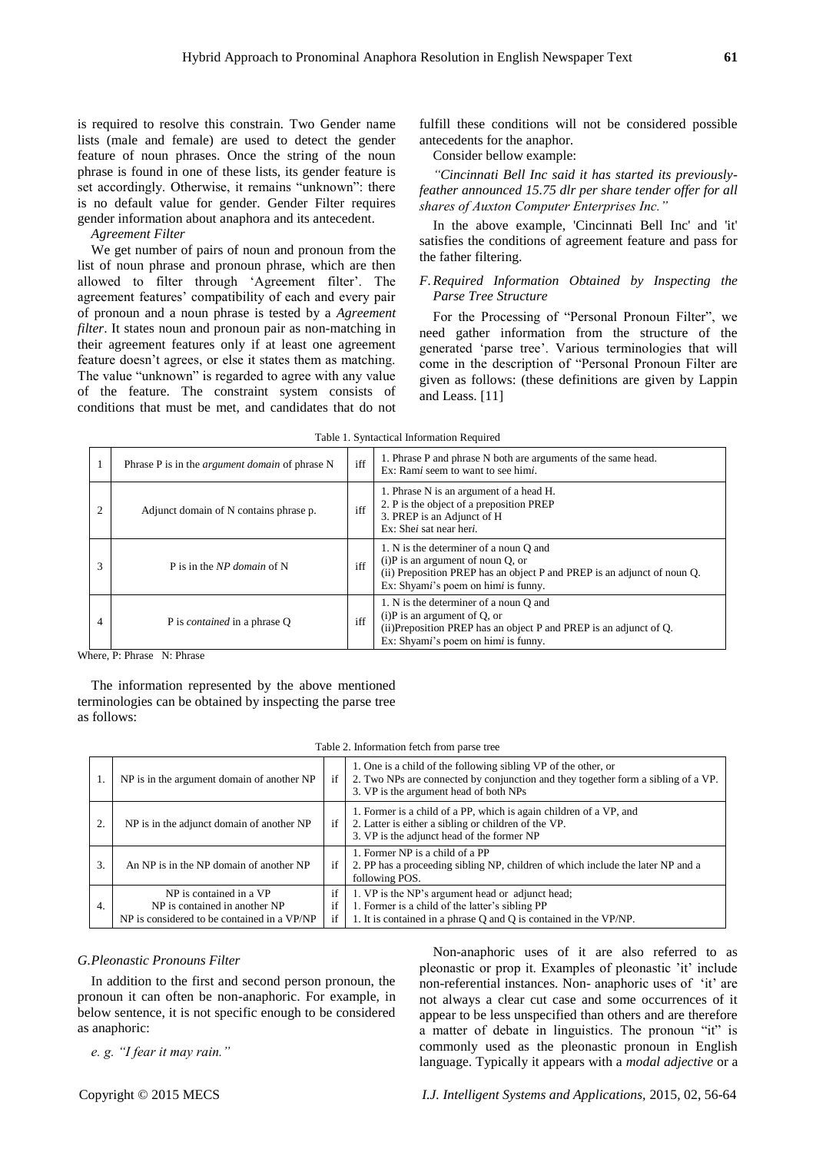is required to resolve this constrain*.* Two Gender name lists (male and female) are used to detect the gender feature of noun phrases. Once the string of the noun phrase is found in one of these lists, its gender feature is set accordingly. Otherwise, it remains "unknown": there is no default value for gender. Gender Filter requires gender information about anaphora and its antecedent.

*Agreement Filter*

We get number of pairs of noun and pronoun from the list of noun phrase and pronoun phrase, which are then allowed to filter through 'Agreement filter'. The agreement features' compatibility of each and every pair of pronoun and a noun phrase is tested by a *Agreement filter*. It states noun and pronoun pair as non-matching in their agreement features only if at least one agreement feature doesn't agrees, or else it states them as matching. The value "unknown" is regarded to agree with any value of the feature. The constraint system consists of conditions that must be met, and candidates that do not fulfill these conditions will not be considered possible antecedents for the anaphor.

Consider bellow example:

*"Cincinnati Bell Inc said it has started its previouslyfeather announced 15.75 dlr per share tender offer for all shares of Auxton Computer Enterprises Inc."*

In the above example, 'Cincinnati Bell Inc' and 'it' satisfies the conditions of agreement feature and pass for the father filtering.

# *F.Required Information Obtained by Inspecting the Parse Tree Structure*

For the Processing of "Personal Pronoun Filter", we need gather information from the structure of the generated 'parse tree'. Various terminologies that will come in the description of "Personal Pronoun Filter are given as follows: (these definitions are given by Lappin and Leass. [11]

|   | Phrase P is in the <i>argument domain</i> of phrase N | iff | 1. Phrase P and phrase N both are arguments of the same head.<br>Ex: Rami seem to want to see himi.                                                                                              |  |
|---|-------------------------------------------------------|-----|--------------------------------------------------------------------------------------------------------------------------------------------------------------------------------------------------|--|
|   | Adjunct domain of N contains phrase p.                | iff | 1. Phrase N is an argument of a head H.<br>2. P is the object of a preposition PREP<br>3. PREP is an Adjunct of H<br>Ex: Shei sat near heri.                                                     |  |
| 3 | P is in the NP domain of N                            | iff | 1. N is the determiner of a noun Q and<br>$(i)$ P is an argument of noun Q, or<br>(ii) Preposition PREP has an object P and PREP is an adjunct of noun Q.<br>Ex: Shyami's poem on himi is funny. |  |
| 4 | P is <i>contained</i> in a phrase Q                   | iff | 1. N is the determiner of a noun Q and<br>$(i)$ P is an argument of Q, or<br>(ii) Preposition PREP has an object P and PREP is an adjunct of Q.<br>Ex: Shyami's poem on himi is funny.           |  |

Table 1. Syntactical Information Required

Where, P: Phrase N: Phrase

The information represented by the above mentioned terminologies can be obtained by inspecting the parse tree as follows:

Table 2. Information fetch from parse tree

| 1. | NP is in the argument domain of another NP                                                              | if             | 1. One is a child of the following sibling VP of the other, or<br>2. Two NPs are connected by conjunction and they together form a sibling of a VP.<br>3. VP is the argument head of both NPs |  |  |  |  |  |
|----|---------------------------------------------------------------------------------------------------------|----------------|-----------------------------------------------------------------------------------------------------------------------------------------------------------------------------------------------|--|--|--|--|--|
| 2. | NP is in the adjunct domain of another NP                                                               | if             | 1. Former is a child of a PP, which is again children of a VP, and<br>2. Latter is either a sibling or children of the VP.<br>3. VP is the adjunct head of the former NP                      |  |  |  |  |  |
| 3. | An NP is in the NP domain of another NP                                                                 | if             | 1. Former NP is a child of a PP<br>2. PP has a proceeding sibling NP, children of which include the later NP and a<br>following POS.                                                          |  |  |  |  |  |
| 4. | NP is contained in a VP<br>NP is contained in another NP<br>NP is considered to be contained in a VP/NP | if<br>if<br>if | 1. VP is the NP's argument head or adjunct head;<br>1. Former is a child of the latter's sibling PP<br>1. It is contained in a phrase Q and Q is contained in the VP/NP.                      |  |  |  |  |  |

## *G.Pleonastic Pronouns Filter*

In addition to the first and second person pronoun, the pronoun it can often be non-anaphoric. For example, in below sentence, it is not specific enough to be considered as anaphoric:

*e. g. "I fear it may rain."*

Non-anaphoric uses of it are also referred to as pleonastic or prop it. Examples of pleonastic 'it' include non-referential instances. Non- anaphoric uses of 'it' are not always a clear cut case and some occurrences of it appear to be less unspecified than others and are therefore a matter of debate in linguistics. The pronoun "it" is commonly used as the pleonastic pronoun in English language. Typically it appears with a *modal adjective* or a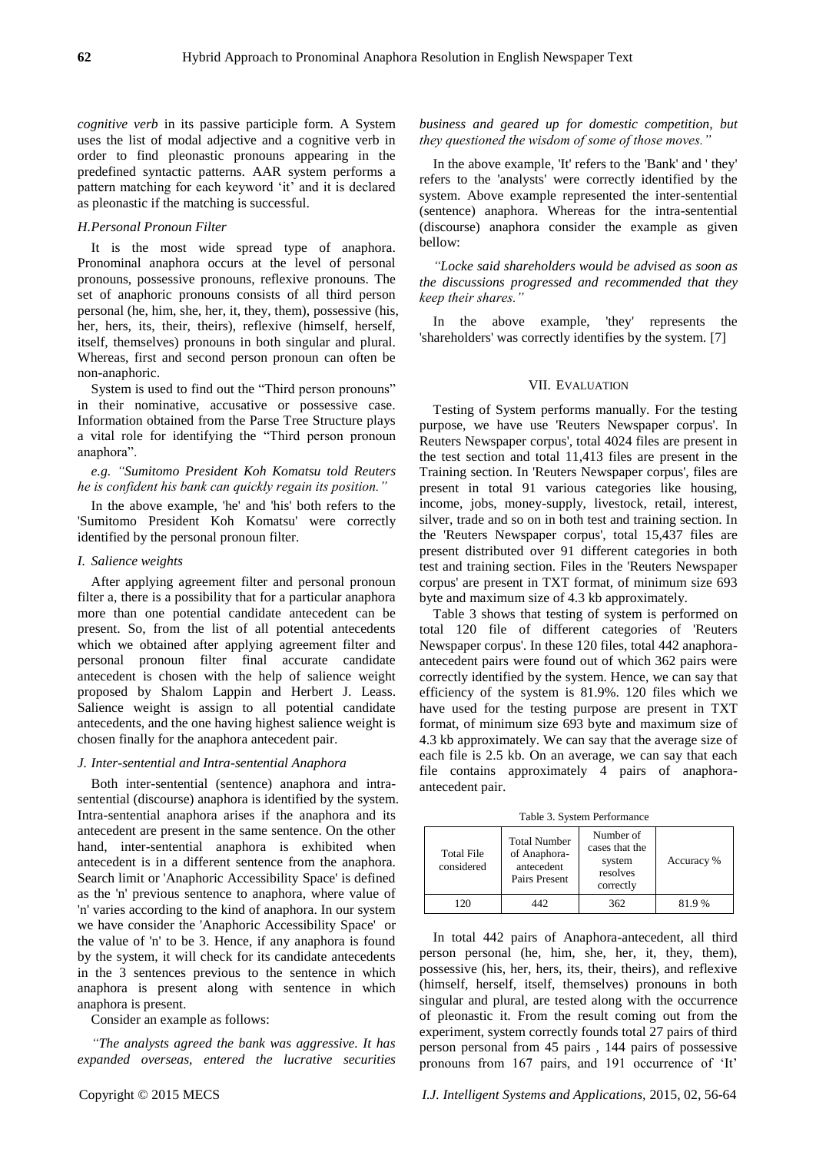*cognitive verb* in its passive participle form. A System uses the list of modal adjective and a cognitive verb in order to find pleonastic pronouns appearing in the predefined syntactic patterns. AAR system performs a pattern matching for each keyword 'it' and it is declared as pleonastic if the matching is successful.

# *H.Personal Pronoun Filter*

It is the most wide spread type of anaphora. Pronominal anaphora occurs at the level of personal pronouns, possessive pronouns, reflexive pronouns. The set of anaphoric pronouns consists of all third person personal (he, him, she, her, it, they, them), possessive (his, her, hers, its, their, theirs), reflexive (himself, herself, itself, themselves) pronouns in both singular and plural. Whereas, first and second person pronoun can often be non-anaphoric.

System is used to find out the "Third person pronouns" in their nominative, accusative or possessive case. Information obtained from the Parse Tree Structure plays a vital role for identifying the "Third person pronoun anaphora".

*e.g. "Sumitomo President Koh Komatsu told Reuters he is confident his bank can quickly regain its position."*

In the above example, 'he' and 'his' both refers to the 'Sumitomo President Koh Komatsu' were correctly identified by the personal pronoun filter.

# *I. Salience weights*

After applying agreement filter and personal pronoun filter a, there is a possibility that for a particular anaphora more than one potential candidate antecedent can be present. So, from the list of all potential antecedents which we obtained after applying agreement filter and personal pronoun filter final accurate candidate antecedent is chosen with the help of salience weight proposed by Shalom Lappin and Herbert J. Leass. Salience weight is assign to all potential candidate antecedents, and the one having highest salience weight is chosen finally for the anaphora antecedent pair.

#### *J. Inter-sentential and Intra-sentential Anaphora*

Both inter-sentential (sentence) anaphora and intrasentential (discourse) anaphora is identified by the system. Intra-sentential anaphora arises if the anaphora and its antecedent are present in the same sentence. On the other hand, inter-sentential anaphora is exhibited when antecedent is in a different sentence from the anaphora. Search limit or 'Anaphoric Accessibility Space' is defined as the 'n' previous sentence to anaphora, where value of 'n' varies according to the kind of anaphora. In our system we have consider the 'Anaphoric Accessibility Space' or the value of 'n' to be 3. Hence, if any anaphora is found by the system, it will check for its candidate antecedents in the 3 sentences previous to the sentence in which anaphora is present along with sentence in which anaphora is present.

Consider an example as follows:

*"The analysts agreed the bank was aggressive. It has expanded overseas, entered the lucrative securities* 

*business and geared up for domestic competition, but they questioned the wisdom of some of those moves."*

In the above example, 'It' refers to the 'Bank' and ' they' refers to the 'analysts' were correctly identified by the system. Above example represented the inter-sentential (sentence) anaphora. Whereas for the intra-sentential (discourse) anaphora consider the example as given bellow:

*"Locke said shareholders would be advised as soon as the discussions progressed and recommended that they keep their shares."*

In the above example, 'they' represents the 'shareholders' was correctly identifies by the system. [7]

# VII. EVALUATION

Testing of System performs manually. For the testing purpose, we have use 'Reuters Newspaper corpus'. In Reuters Newspaper corpus', total 4024 files are present in the test section and total 11,413 files are present in the Training section. In 'Reuters Newspaper corpus', files are present in total 91 various categories like housing, income, jobs, money-supply, livestock, retail, interest, silver, trade and so on in both test and training section. In the 'Reuters Newspaper corpus', total 15,437 files are present distributed over 91 different categories in both test and training section. Files in the 'Reuters Newspaper corpus' are present in TXT format, of minimum size 693 byte and maximum size of 4.3 kb approximately.

Table 3 shows that testing of system is performed on total 120 file of different categories of 'Reuters Newspaper corpus'. In these 120 files, total 442 anaphoraantecedent pairs were found out of which 362 pairs were correctly identified by the system. Hence, we can say that efficiency of the system is 81.9%. 120 files which we have used for the testing purpose are present in TXT format, of minimum size 693 byte and maximum size of 4.3 kb approximately. We can say that the average size of each file is 2.5 kb. On an average, we can say that each file contains approximately 4 pairs of anaphoraantecedent pair.

Table 3. System Performance

| Total File<br>considered | <b>Total Number</b><br>of Anaphora-<br>antecedent<br>Pairs Present | Number of<br>cases that the<br>system<br>resolves<br>correctly | Accuracy % |
|--------------------------|--------------------------------------------------------------------|----------------------------------------------------------------|------------|
| 120                      | 142                                                                | 362                                                            | 81.9%      |

In total 442 pairs of Anaphora-antecedent, all third person personal (he, him, she, her, it, they, them), possessive (his, her, hers, its, their, theirs), and reflexive (himself, herself, itself, themselves) pronouns in both singular and plural, are tested along with the occurrence of pleonastic it. From the result coming out from the experiment, system correctly founds total 27 pairs of third person personal from 45 pairs , 144 pairs of possessive pronouns from 167 pairs, and 191 occurrence of 'It'

Copyright © 2015 MECS *I.J. Intelligent Systems and Applications,* 2015, 02, 56-64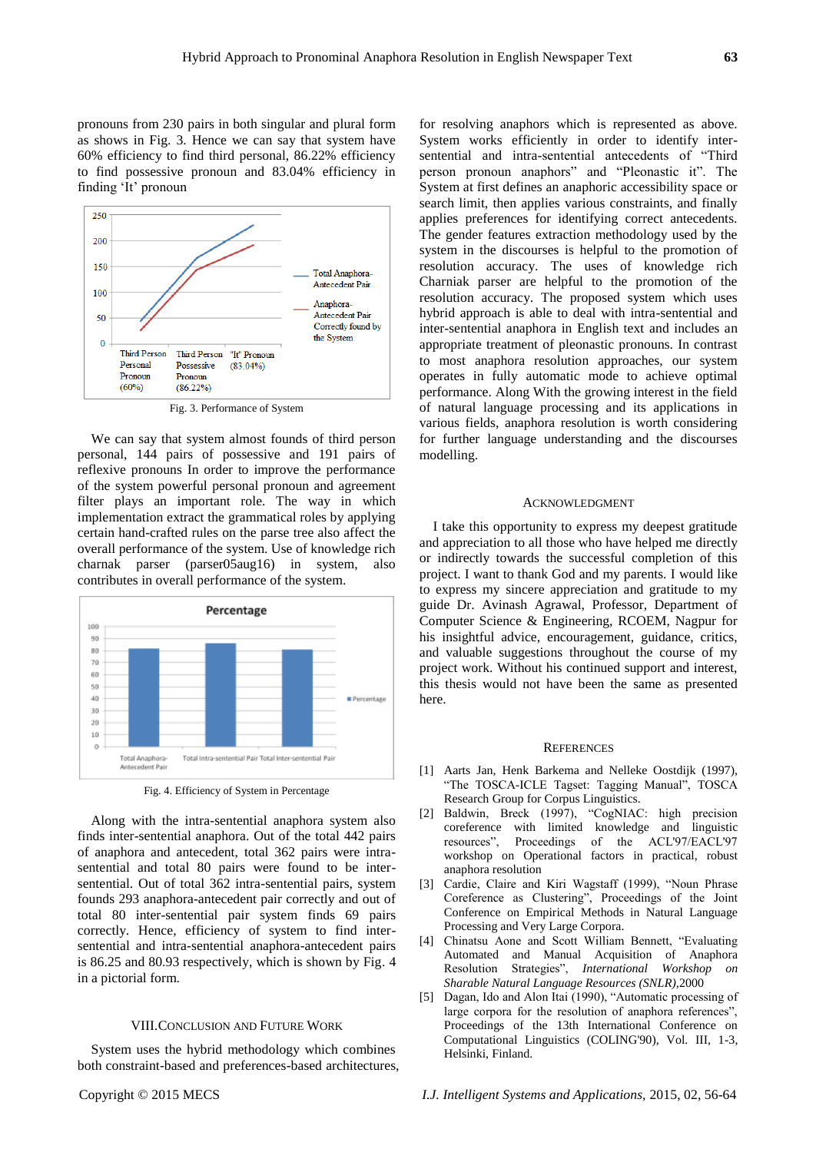pronouns from 230 pairs in both singular and plural form as shows in Fig. 3. Hence we can say that system have 60% efficiency to find third personal, 86.22% efficiency to find possessive pronoun and 83.04% efficiency in finding 'It' pronoun



Fig. 3. Performance of System

We can say that system almost founds of third person personal, 144 pairs of possessive and 191 pairs of reflexive pronouns In order to improve the performance of the system powerful personal pronoun and agreement filter plays an important role. The way in which implementation extract the grammatical roles by applying certain hand-crafted rules on the parse tree also affect the overall performance of the system. Use of knowledge rich charnak parser (parser05aug16) in system, also contributes in overall performance of the system.



Fig. 4. Efficiency of System in Percentage

Along with the intra-sentential anaphora system also finds inter-sentential anaphora. Out of the total 442 pairs of anaphora and antecedent, total 362 pairs were intrasentential and total 80 pairs were found to be intersentential. Out of total 362 intra-sentential pairs, system founds 293 anaphora-antecedent pair correctly and out of total 80 inter-sentential pair system finds 69 pairs correctly. Hence, efficiency of system to find intersentential and intra-sentential anaphora-antecedent pairs is 86.25 and 80.93 respectively, which is shown by Fig. 4 in a pictorial form.

## VIII.CONCLUSION AND FUTURE WORK

System uses the hybrid methodology which combines both constraint-based and preferences-based architectures, for resolving anaphors which is represented as above. System works efficiently in order to identify intersentential and intra-sentential antecedents of "Third person pronoun anaphors" and "Pleonastic it". The System at first defines an anaphoric accessibility space or search limit, then applies various constraints, and finally applies preferences for identifying correct antecedents. The gender features extraction methodology used by the system in the discourses is helpful to the promotion of resolution accuracy. The uses of knowledge rich Charniak parser are helpful to the promotion of the resolution accuracy. The proposed system which uses hybrid approach is able to deal with intra-sentential and inter-sentential anaphora in English text and includes an appropriate treatment of pleonastic pronouns. In contrast to most anaphora resolution approaches, our system operates in fully automatic mode to achieve optimal performance. Along With the growing interest in the field of natural language processing and its applications in various fields, anaphora resolution is worth considering for further language understanding and the discourses modelling.

### ACKNOWLEDGMENT

I take this opportunity to express my deepest gratitude and appreciation to all those who have helped me directly or indirectly towards the successful completion of this project. I want to thank God and my parents. I would like to express my sincere appreciation and gratitude to my guide Dr. Avinash Agrawal, Professor, Department of Computer Science & Engineering, RCOEM, Nagpur for his insightful advice, encouragement, guidance, critics, and valuable suggestions throughout the course of my project work. Without his continued support and interest, this thesis would not have been the same as presented here.

#### **REFERENCES**

- [1] Aarts Jan, Henk Barkema and Nelleke Oostdijk (1997), "The TOSCA-ICLE Tagset: Tagging Manual", TOSCA Research Group for Corpus Linguistics.
- [2] Baldwin, Breck (1997), "CogNIAC: high precision coreference with limited knowledge and linguistic resources", Proceedings of the ACL'97/EACL'97 workshop on Operational factors in practical, robust anaphora resolution
- [3] Cardie, Claire and Kiri Wagstaff (1999), "Noun Phrase Coreference as Clustering", Proceedings of the Joint Conference on Empirical Methods in Natural Language Processing and Very Large Corpora.
- [4] Chinatsu Aone and Scott William Bennett, "Evaluating Automated and Manual Acquisition of Anaphora Resolution Strategies", *International Workshop on Sharable Natural Language Resources (SNLR),*2000
- [5] Dagan, Ido and Alon Itai (1990), "Automatic processing of large corpora for the resolution of anaphora references", Proceedings of the 13th International Conference on Computational Linguistics (COLING'90), Vol. III, 1-3, Helsinki, Finland.